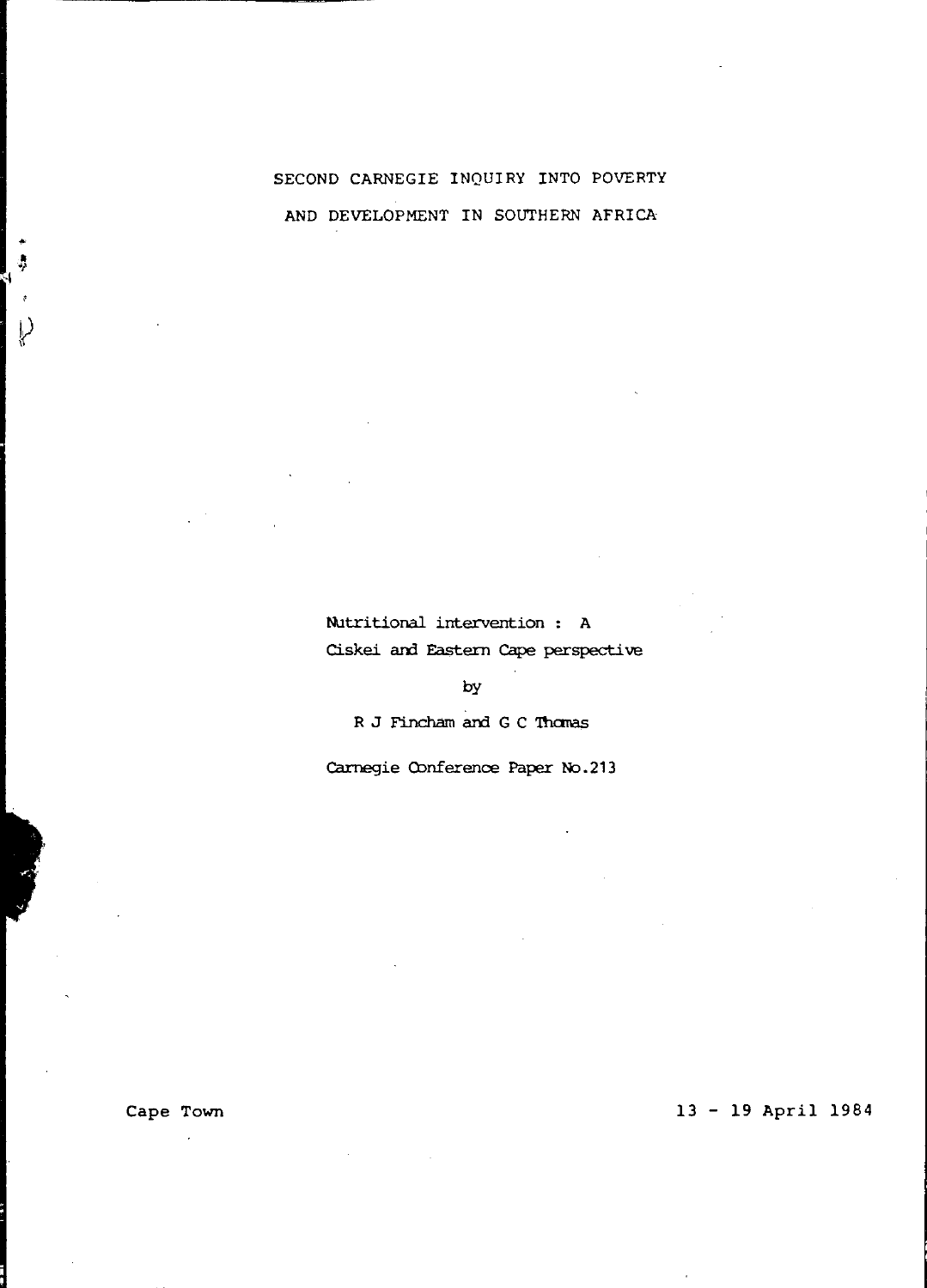# SECOND CARNEGIE INQUIRY INTO POVERTY AND DEVELOPMENT IN SOUTHERN AFRICA

Nutritional intervention : A Ciskei and Eastern Cape perspective

by

R J Fincham and G C Thomas

Carnegie Conference Paper No.213

Cape Town

Ý

# 13 - 19 April 1984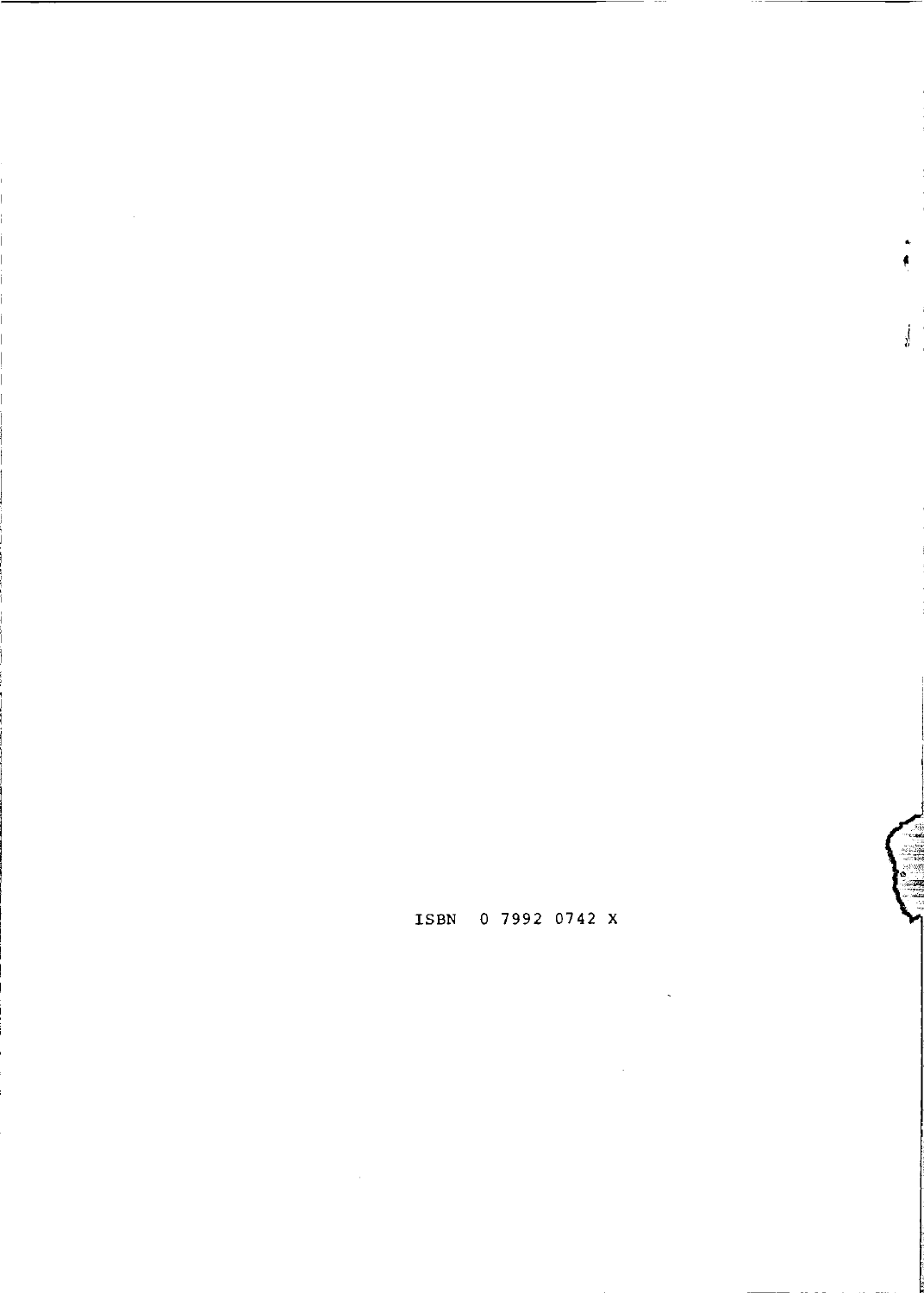ISBN 0 7992 0742 X

j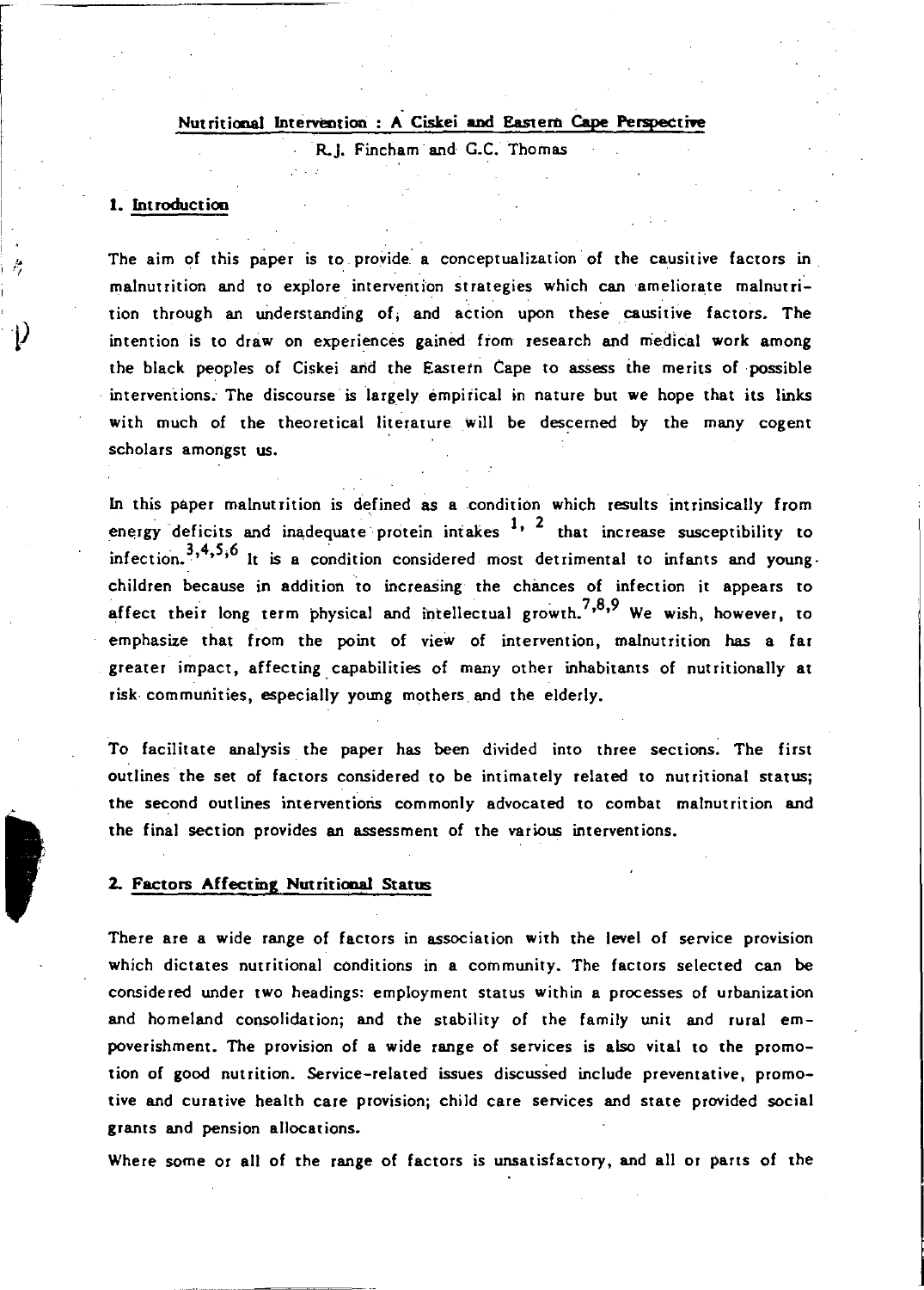## Nutritional Intervention: A Ciskei and Eastern Cape Perspective

. R.J. Fincham· and G.C. Thomas

### 1. Introduction

The aim of this paper is to provide a conceptualization of the causitive factors in malnutrition and to explore intervention strategies which can ameliorate malnutrition through an understanding of, and action upon these causitive factors. The intention is to draw on experiences gained from research and medical work among the black peoples of Ciskei arid the Eastern Cape to assess the merits of possible interventions. The discourse is largely empirical in nature but we hope that its links with much of the theoretical literature will be descerned by the many cogent scholars amongst us.

In this paper malnutrition is defined as a condition which results intrinsically from energy deficits and inadequate protein intakes  $1$ ,  $2$  that increase susceptibility to infection.  $3,4,5,6$  It is a condition considered most detrimental to infants and youngchildren because in addition to increasing the chances of infection it appears to affect their long term physical and intellectual growth.<sup>7,8,9</sup> We wish, however, to emphasize that from the point of view of intervention, malnutrition has a far greater impact, affecting. capabilities of many other inhabitants of nutritionally at risk communities, especially young mothers and the elderly.

To facilitate analysis the paper has been divided into three sections. The first outlines the set of factors considered to be intimately related to nutritional status; the second outlines interventioris commonly advocated to combat malnutrition and the final section provides an assessment of the various interventions.

#### 2. Factors Affecting Nutritional Status

,

Ą

There are a wide range of factors in association with the level of service provision which dictates nutritional conditions in a community. The factors selected can be considered under tWO headings: employment status within a processes of urbanization and homeland consolidation; and the stability of the family unit and rural empoverishment. The provision of a wide range of services is also vital to the promotion of good nutrition. Service-related issues discussed include preventative, promotive and curative health care provision; child care services and state provided social grants and pension allocations.

Where some or all of the range of factors is unsatisfactory, and all or parts of the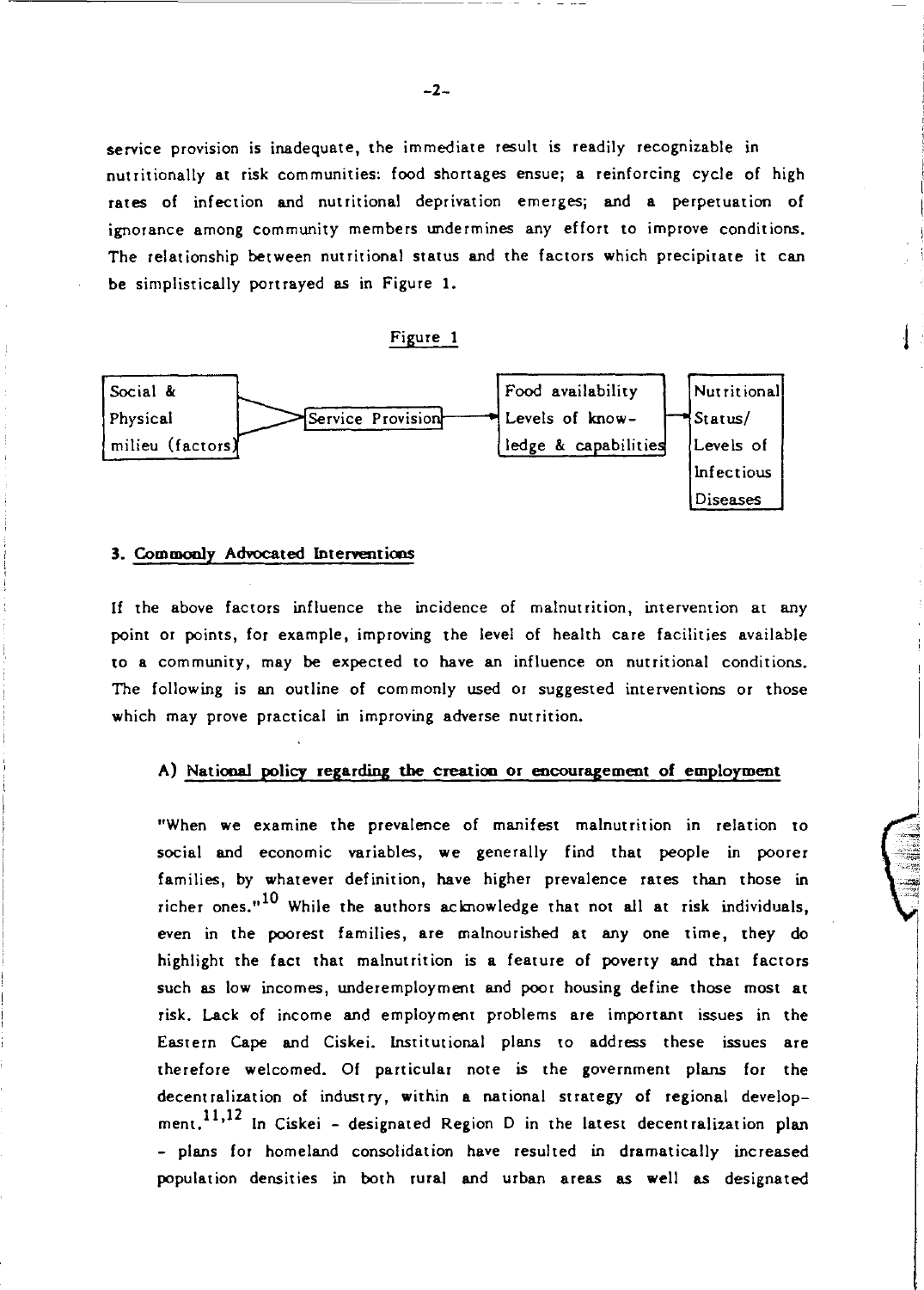service provision is inadequate, the immediate result is readily recognizable in nutritionally at risk communities: food shortages ensue; a reinforcing cycle of high rates of infection and nutritional deprivation emerges; and a perpetuation of ignorance among community members undermines any effort to improve conditions. The relationship between nutritional status and the factors which precipitate it can be simplistically portrayed as in Figure 1.

### Figure



### 3. Commonly Advocated Interventions

If the *above* factors influence the incidence of malnutrition, intervention at any point or points, for example, improving the level of health care facilities available to a community, may be expected to have an influence on nutritional conditions. The following is an outline of commonly used or suggested interventions or those which may prove practical in improving adverse nutrition.

### A) National policy regarding the creation or encouragement of employment

"When we examine the prevalence of manifest malnutrition in relation to social and economic variables, we generally find that people in poorer families, by whatever definition, have higher prevalence rates than those in richer ones."<sup>10</sup> While the authors acknowledge that not all at risk individuals, even in the poorest families, are malnourished at anyone time, they do highlight the fact that malnutrition is a feature of poverty and that factors such as low incomes, underemployment and poor housing define those most at risk. Lack of income and employment problems are important issues in the Eastern Cape and Ciskei. Institutional plans to address these issues are therefore welcomed. Of particular note is the government plans for the decentralization of industry, within a national strategy of regional development.<sup>11,12</sup> In Ciskei - designated Region D in the latest decentralization plan - plans for homeland consolidation have resulted in dramatically increased population densities in both rural and urban areas as well as designated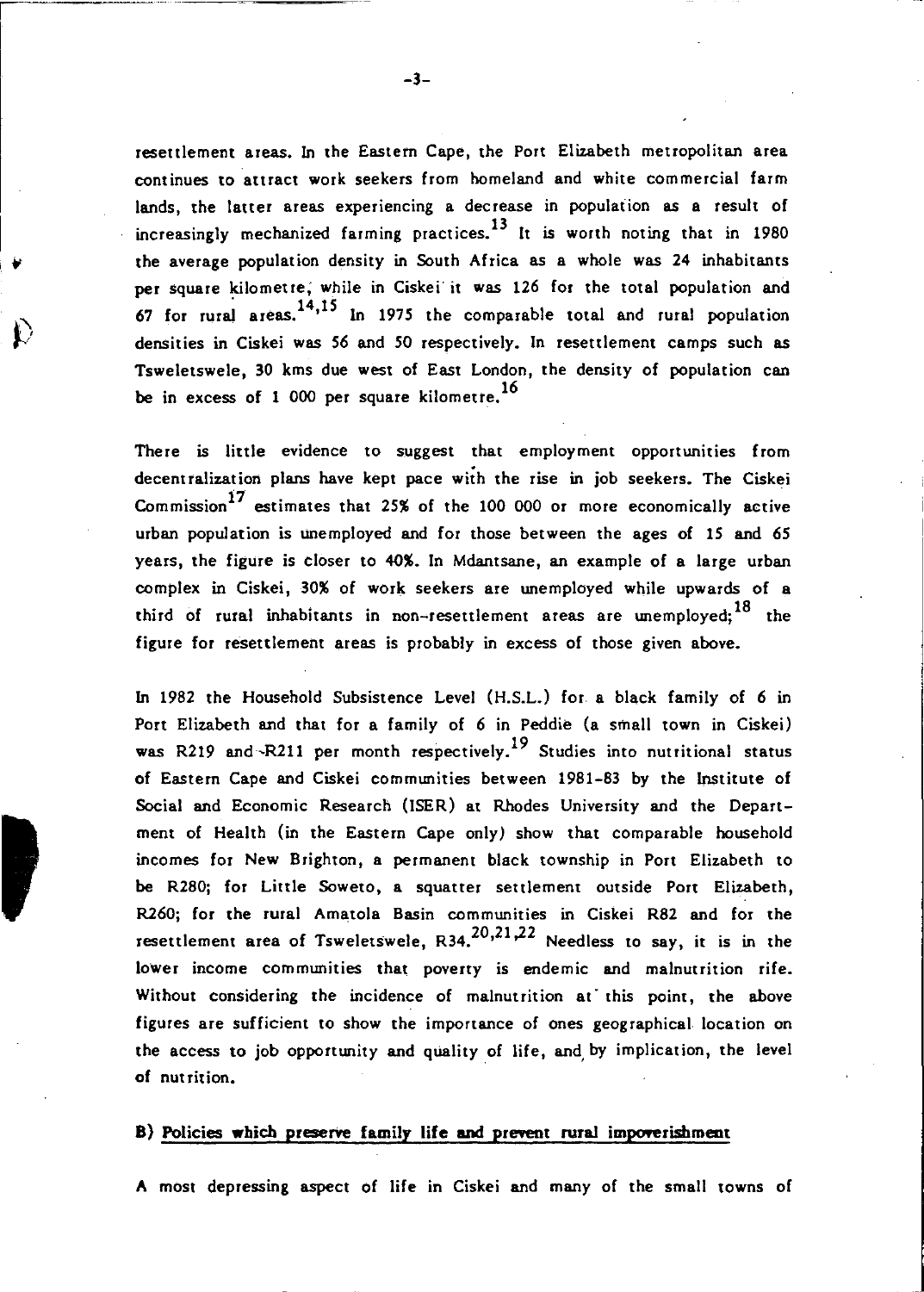resettlement areas. In the Eastern Cape, the Port Elizabeth metropolitan area continues to attract work seekers from homeland and white commercial farm lands, the latter areas experiencing a decrease in populaiion as a result of increasingly mechanized farming practices.<sup>13</sup> It is worth noting that in 1980 the average population density in South Africa as a whole was 24 inhabitants per square kilometre; while in Ciskei' it was 126 for the total population and  $67$  for rural areas.<sup>14,15</sup> In 1975 the comparable total and rural population densities in Ciskei was 56 and *SO* respectively. In resettlement camps such as Tsweletswele, 30 kms due west of East London, the density of population can be in excess of 1 000 per square kilometre.<sup>16</sup>

There is little evidence to suggest that employment opportunities from decentralization plans have kept pace with the rise in job seekers. The Ciskei Commission<sup>17</sup> estimates that 25% of the 100 000 or more economically active urban population is unemployed and for those between the ages of 15 and 65 years, the figure is closer to 40%. In Mdantsane, an example of a large urban complex in Ciskei, 30% of work seekers are unemployed while upwards of a third of rural inhabitants in non-resettlement areas are unemployed;  $18$  the figure for resettlement areas is probably in excess of those given above.

In 1982 the Household Subsistence Level (H.S.L.) for a black family of 6 in Port Elizabeth and that for a family of 6 in Peddie (a small town in Ciskei) was R219 and  $-R211$  per month respectively.<sup>19</sup> Studies into nutritional status of Eastern Cape and Ciskei communities between 1981-83 by the Institute of Social and Economic Research (ISER) at Rhodes University and the Department of Health (in the Eastern Cape only) show that comparable household incomes for New Brighton, a permanent black township in Port Elizabeth to be R280; for Little Soweto, a squatter settlement outside Port Elizabeth, R260; for the rural Amatola Basin communities in Ciskei R82 and for the resettlement area of Tsweletswele,  $R34$ ,  $20,21,22$  Needless to say, it is in the lower income communities that poverty is endemic and malnutrition rife. Without considering the incidence of malnutrition at' this point, the above figures are sufficient to show the importance of ones geographical location on the access to job opportunity and quality of life, and by implication, the level of nut rition.

### B) Policies which preserve family life and prevent rural impoverishment

A most depressing aspect of life in Ciskei and many of the small towns of

 $\mathcal{V}_\parallel$ 

,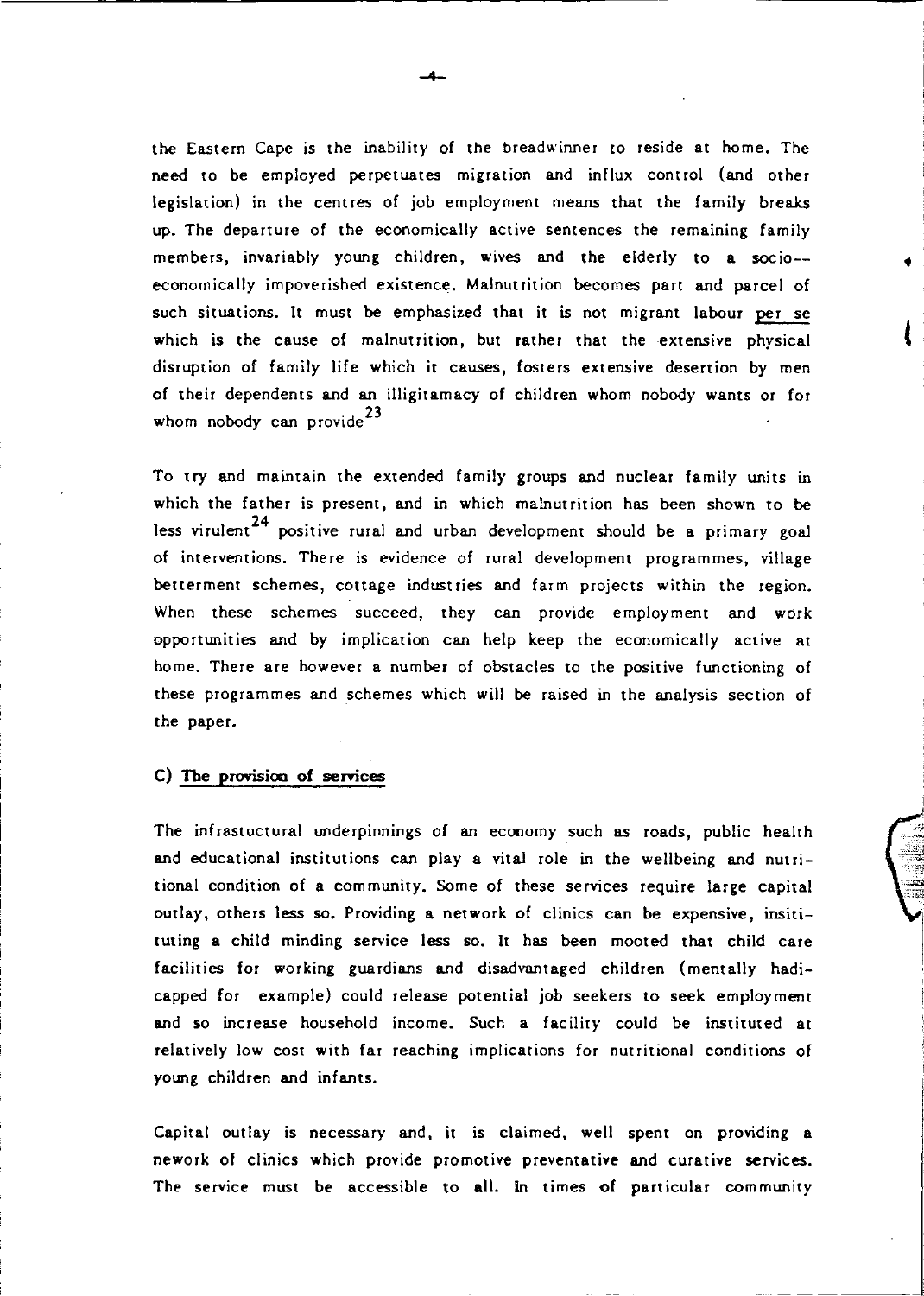the Eastern Cape is the inability of the breadwinner to reside at home. The need to be employed perpetuates migration and influx control (and other legislation) in the centres of job employment means that the family breaks up. The departure of the economically active sentences the remaining family members, invariably young children, wives and the elderly to a socio- economically impoverished existence. Malnutrition becomes part and parcel of such situations. It must be emphasized that it is not migrant labour per se which is the cause of malnutrition, but rather that the extensive physical disruption of family life which it causes, fosters extensive desertion by men of their dependents and an illigitamacy of children whom nobody wants or for whom nobody can provide<sup>23</sup>

t

To try and maintain the extended family groups and nuclear family units in which the father is present, and in which malnutrition has been shown to be less virulent<sup>24</sup> positive rural and urban development should be a primary goal of interventions. There is evidence of rural development programmes, village betterment schemes, cottage industries and farm projects within the region. When these schemes succeed, they can provide employment and work opportunities and by implication can help keep the economically active at home. There are however a number of obstacles to the positive functioning of these programmes and schemes which will be raised in the analysis section of the paper.

### C) The provision of services

The infrastuctural underpinnings of an economy such as roads, public health and educational institutions can play a vital role in the wellbeing and nutritional condition of a community. Some of these services require large capital outlay, others less so. Providing a network of clinics can be expensive, insitituting a child minding service less so. It has been mooted that child care facilities for working guardians and disadvantaged children (mentally hadicapped for example) could release potential job seekers to seek employment and so increase household income. Such a facility could be instituted at relatively low COSt with far reaching implications for nutritional conditions of young children and infants.

Capital outlay is necessary and, it is claimed, well spent on providing a nework of clinics which provide promotive preventative and curative services. The service must be accessible to all. In times of particular community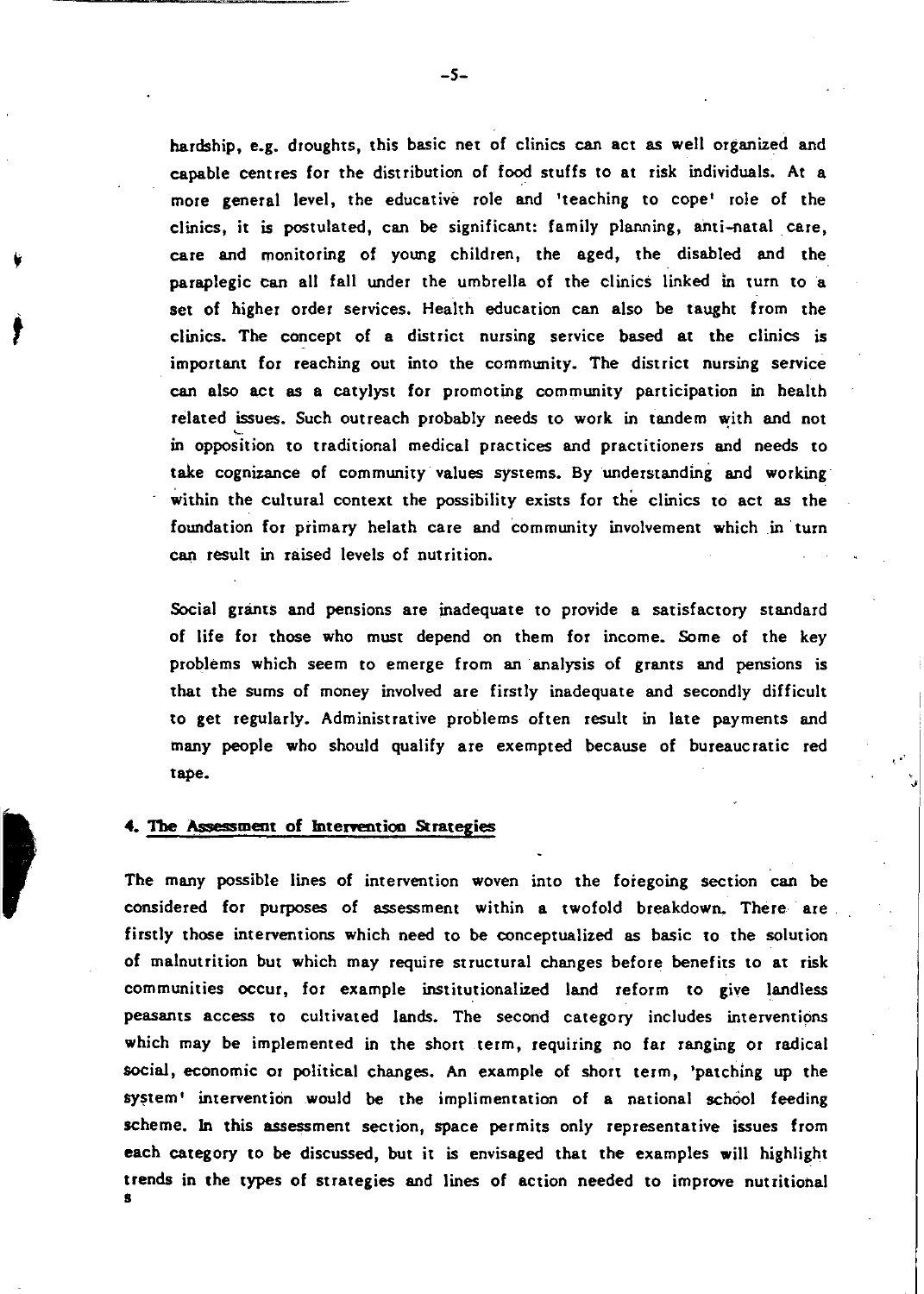hardship, e.g. droughts, this basic net of clinics can act as well organized and capable centres for the distribution of food stuffs to at risk individuals. At a more general level, the educative role and 'teaching to cope' role of the clinics, it is postulated, can be significant: family planning, anti-natal. care, care and monitoring of young children, the aged, the disabled and the paraplegic can all fall under the umbrella of the clinics linked in turn to a set of higher order services. Health education can also be taught from the clinics. The concept of a district nursing service based at the clinics is important for reaching out into the community. The district nursing service can also act as a catylyst for promoting community participation in health related issues. Such outreach probably needs to work in tandem with and not in opposition to traditional medical practices and practitioners and needs to take cognizance of community values systems. By understanding and working within the cultural context the possibility exists for the clinics to act as the foundation for primary helath care and community involvement which in turn can result in raised levels of nutrition.

Social grants and pensions are inadequate to provide a satisfactory standard of life for those who must depend on them for income. Some of the key problems which seem to emerge from an analysis of grants and pensions is that the sums of money involved are firstly inadequate and secondly difficult to get regularly. Administrative problems often result in late payments and many people who should qualify are exempted because of bureaucratic red tape.

### 4. The Assessment of Intervention Strategies

*t* 

The many possible lines of intervention woven into the foregoing section can be considered for purposes of assessment within a twofold breakdown. There are firstly those interventions which need to be conceptualized as basic to the solution of malnutrition but which may require structural changes before benefits to at risk communities occur, for example institutionalized land reform to give landless peasants access to cultivated lands. The second category includes interventions which may be implemented in the short term, requiring no far ranging or radical social, economic or political changes. An example of short term, 'patching up the system' intervention would be the implimentation of a national school feeding scheme. In this assessment section, space permits only representative issues from each category to be discussed, but it is envisaged that the examples will highlight trends in the types of strategies and lines of action needed to improve nutritional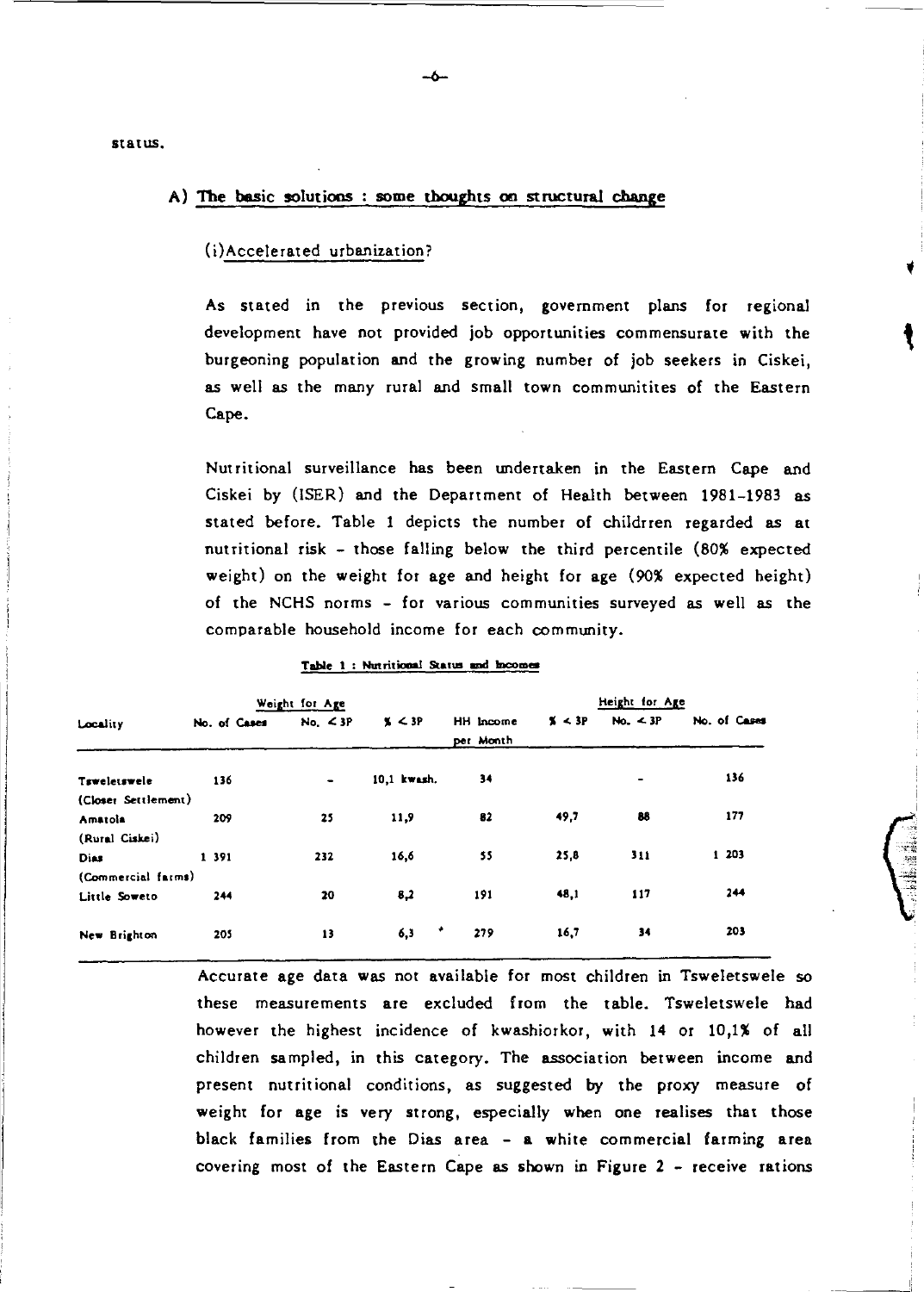status.

### A) The basic solutions : some thoughts on structural change

### (i)Accelerated urbanization?

As stated in the previous section, government plans for regional development have not provided job opportunities commensurate with the burgeoning population and the growing number of job seekers in Ciskei. as well as the many rural and small town communitites of the Eastern Cape.

Nutritional surveillance has been undertaken in the Eastern Cape and Ciskei by (ISER) and the Department of Health between 1981-1983 as stated before. Table 1 depicts the number of childrren regarded as at nutritional risk - those falling below the third percentile (80% expected weight) on the weight for age and height for age (90% expected height) of the NCHS norms - for various communities surveyed as well as the comparable household income for each community.

|                     |       |              | Weight for Age |             |                        |        | Height for Age |              |
|---------------------|-------|--------------|----------------|-------------|------------------------|--------|----------------|--------------|
| Locality            |       | No. of Cases | No. < 3P       | x < 3P      | HH Income<br>per Month | X < 3P | No. $\leq 3P$  | No. of Cases |
| Tsweletswele        |       | 136          | $\blacksquare$ | 10.1 kwash. | 34                     |        | $\blacksquare$ | 136          |
| (Closer Settlement) |       |              |                |             |                        |        |                |              |
| Amatola             |       | 209          | 25             | 11,9        | 82                     | 49.7   | 88             | 177          |
| (Rural Ciskei)      |       |              |                |             |                        |        |                |              |
| Dias                | 1 391 |              | 232            | 16,6        | 55                     | 25,8   | 311            | 1 203        |
| (Commercial farms)  |       |              |                |             |                        |        |                |              |
| Little Soweto       |       | 244          | 20             | 8,2         | 191                    | 48,1   | 117            | 244          |
| New Brighton        |       | 205          | 13             | ٠<br>6,3    | 279                    | 16,7   | 34             | 203          |

#### Table 1: Nutritional Status and Incomes

Accurate age data was not available for most children in Tsweletswele so these measurements are excluded from the table. Tsweletswele had however the highest incidence of kwashiorkor, with 14 or 10,1% of all children sampled, in this category. The association between income and present nutritional conditions, as suggested by the proxy measure of weight for age is very strong, especially when one realises that those black families from the Dias area - a white commercial farming area covering most of the Eastern Cape as shown in Figure 2 - receive rations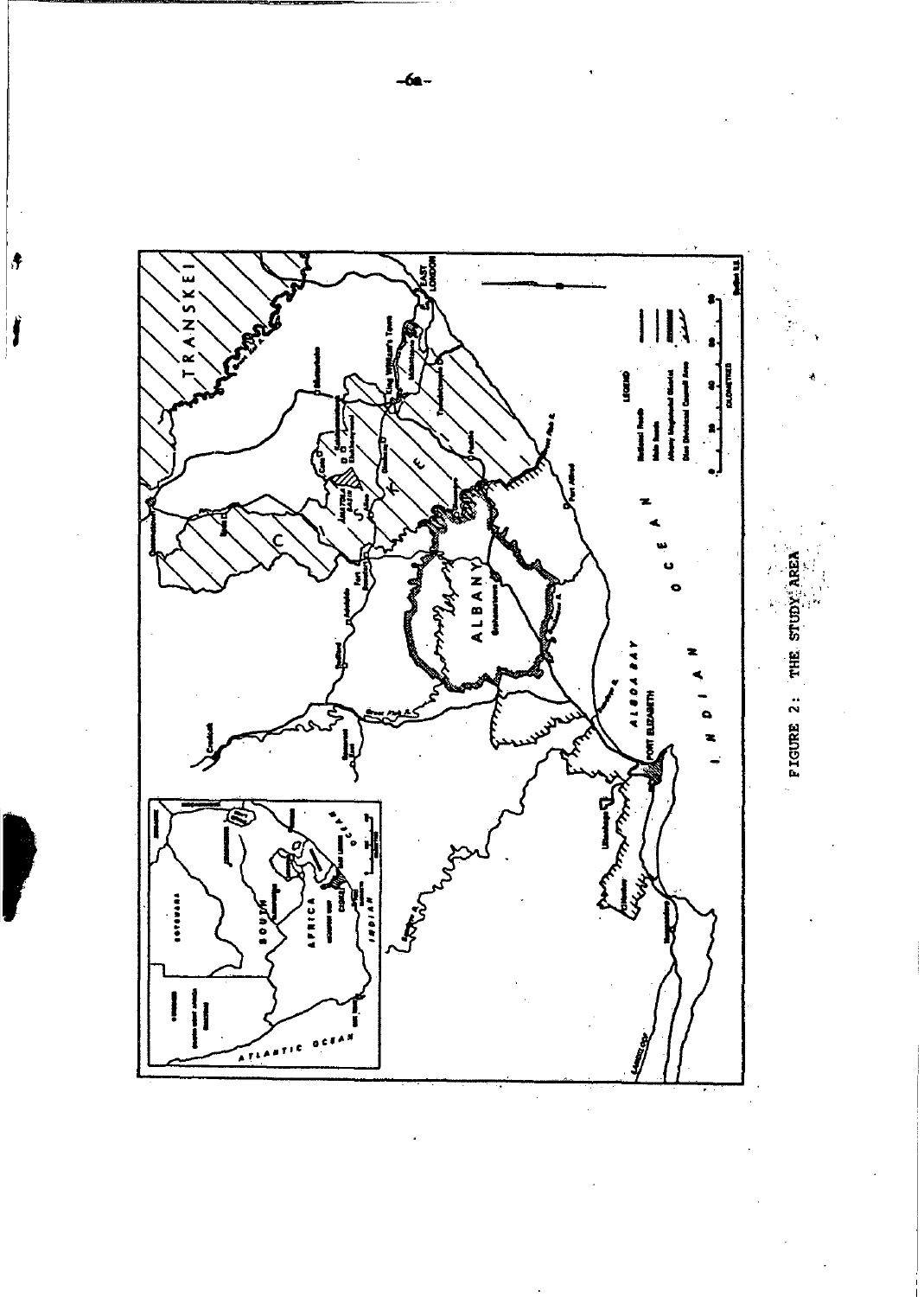

 $-6a -$ 

 $\vert \bullet$ 

Ĵ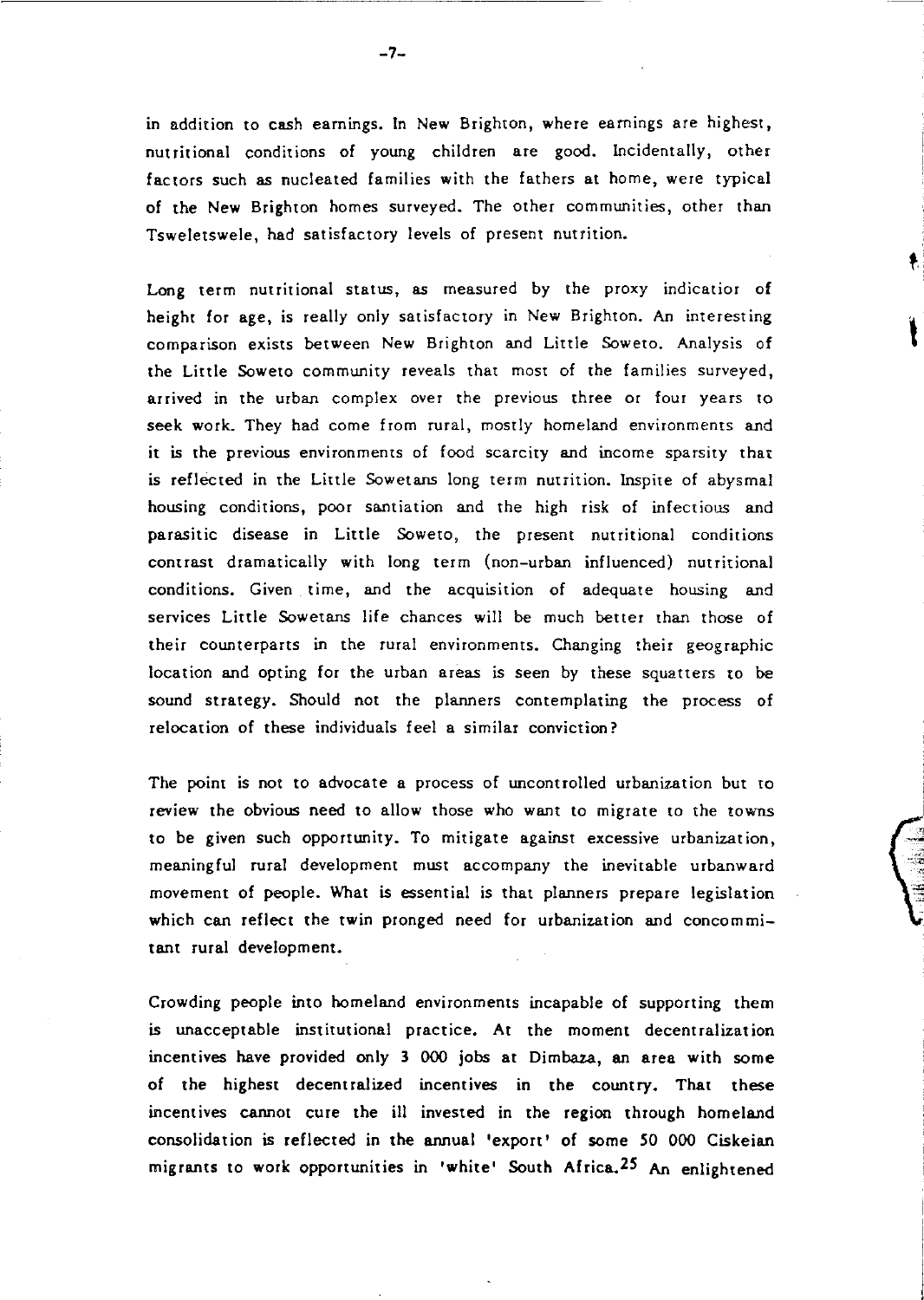in addition to cash earnings. In New Brighton, where earnings are highest, nutritional conditions of young children are good. Incidentally, other factors such as nucleated families with the fathers at home, were typical of the New Brighton homes surveyed. The other communities, other than Tsweletswele, had satisfactory levels of present nutrition.

Long term nutritional status, as measured by the proxy indicatior of height for age, is really only satisfactory in New Brighton. An interesting comparison exists between New Brighton and Little Soweto. Analysis of the Little Soweto community reveals that most of the families surveyed, arrived in the urban complex over the previous three or four years to seek work. They had come from rural, mostly homeland environments and it is the previous environments of food scarcity and income sparsity that is reflected in the Little Sowetans long term nutrition. Inspite of abysmal housing conditions, poor santiation and the high risk of infectious and parasitic disease in Little Soweto, the present nutritional conditions contrast dramatically with long term (non-urban influenced) nutritional conditions. Given time, and the acquisition of adequate housing and services Little Sowetans life chances will be much better than those of their counterparts in the rural environments. Changing their geographic location and opting for the urban areas is seen by these squatters to be sound strategy. Should not the planners contemplating the process of relocation of these individuals feel a similar conviction?

The point is not to advocate a process of uncontrolled urbanization but to review the obvious need to allow those who want to migrate to the towns to be given such opportunity. To mitigate against excessive urbanization, meaningful rural development must accompany the inevitable urbanward movement of people. What is essential is that planners prepare legislation which can reflect the twin pronged need for urbanization and concommitant rural development.

~  $\frac{1}{\sqrt{2}}$  $:$ 

Crowding people into homeland environments incapable of supporting them is unacceptable institutional practice. At the moment decentralization incentives have provided only 3 000 jobs at Dimbaza, an area with some of the highest decentralized incentives in the country. That these incentives cannot cure the ill invested in the region through homeland consolidation is reflected in the annual 'export' of some 50 000 Ciskeian migrants to work opportunities in 'white' South Africa. 25 An enlightened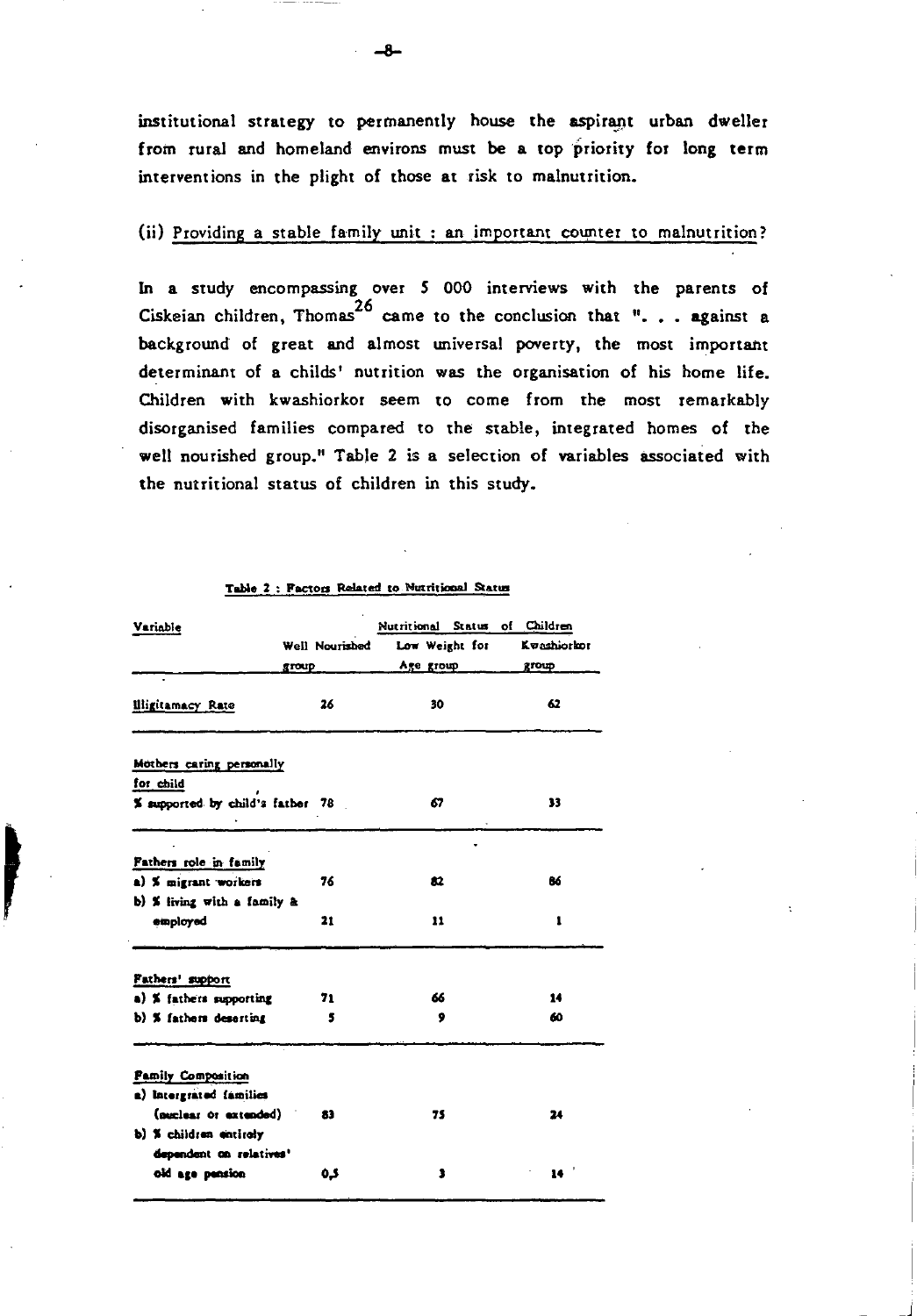institutional strategy to permanently house the aspirant urban dweller from rural and homeland environs must be a top priority for long term interventions in the plight of those at risk to malnutrition.

### (ii) Providing a stable family unit : an important counter to malnutrition?

In a study encompassing over 5 000 interviews with the parents of Ciskeian children, Thomas<sup>26</sup> came to the conclusion that ". . . against a background of great and almost universal poverty, the most important determinant of a childs' nutrition was the organisation of his home life. Children with kwashiorkor seem to come from the most remarkably disorganised families compared to the stable, integrated homes of the well nourished group." Table 2 is a selection of variables associated with the nutritional status of children in this study.

| Variable                               |                | Nutritional Status of Children |             |
|----------------------------------------|----------------|--------------------------------|-------------|
|                                        | Well Nourished | Low Weight for                 | Kvashiorkor |
|                                        | group          | Age group                      | group       |
| <b>Illigitamacy Rate</b>               | 26             | 30                             | 62          |
| Mothers caring personally<br>for child |                |                                |             |
| % supported by child's father 78       |                | 67                             | 33          |
| Fathers role in family                 |                |                                |             |
| a) % migrant workers                   | 76             | 82                             | 86          |
| b) % living with a family &            |                |                                |             |
| employed                               | 21             | 11                             | 1           |
| Fathers' support                       |                |                                |             |
| a) <b>K</b> fathers supporting         | 71             | 66                             | 14          |
| b) % fathers deserting                 | 5              | 9                              | 60          |
| <b>Pamily Composition</b>              |                |                                |             |
| a) Intergrated families                |                |                                |             |
| (nuclear or extended)                  | 83             | 75                             | 24          |
| b) % children entirely                 |                |                                |             |
| dependent on relatives'                |                |                                |             |
| old age pension                        | ده             | 3                              |             |

#### Table 2 : Factors Related to Nutritional Status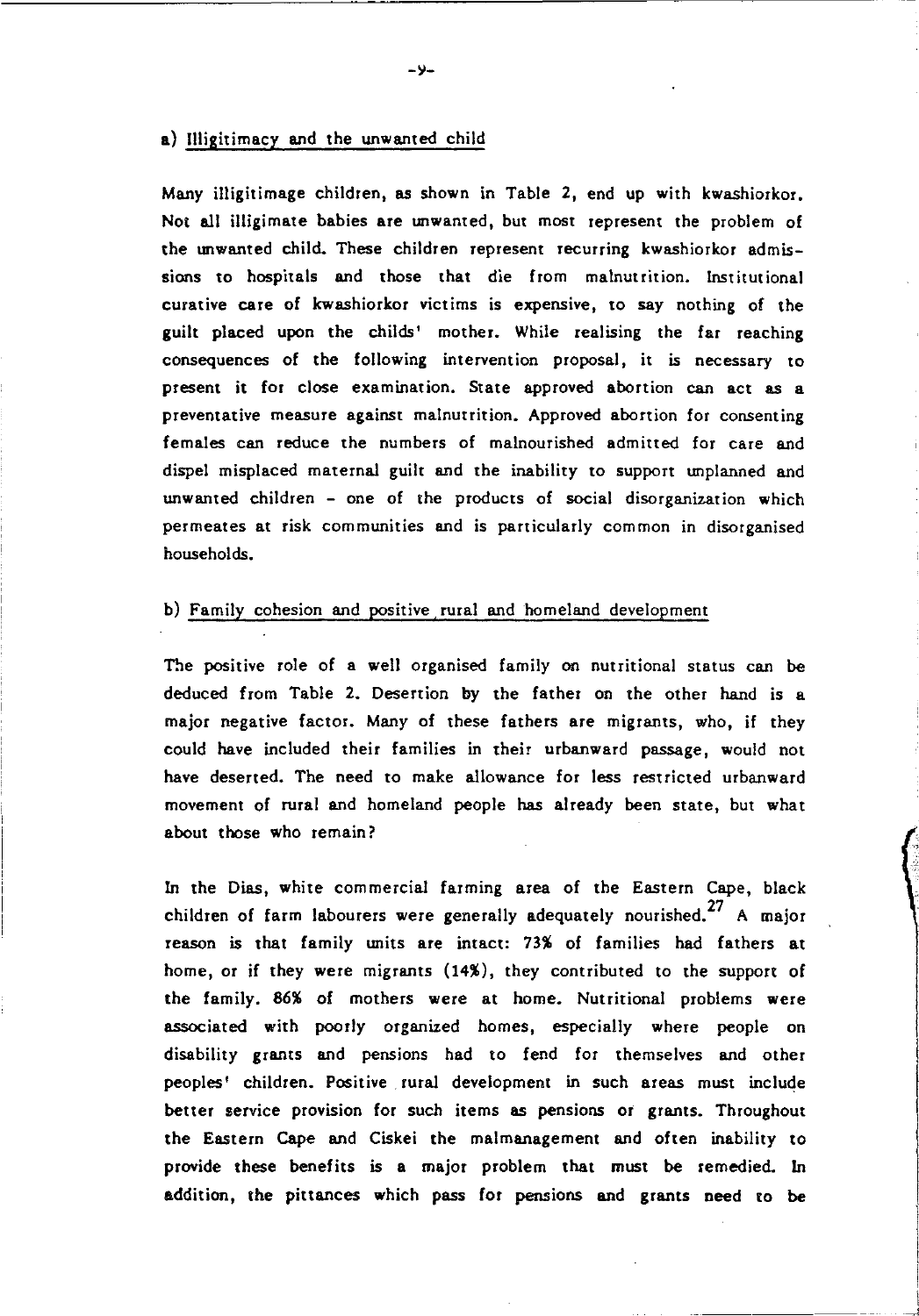### a) Illigitimacy and the unwanted child

Many iIIigitimage children, as shown in Table 2, end up with kwashiorkor. Not all iIIigimate babies are unwanted, but most represent the problem of the unwanted child. These children represent recurring kwashiorkor admissions to hospitals and those that die from malnutrition. Institutional curative care of kwashiorkor victims is expensive, to say nothing of the guilt placed upon the childs' mother. While realising the far reaching consequences of the following intervention proposal, it is necessary to present it for close examination. State approved abortion can act as a preventative measure against malnutrition. Approved abortion for consenting females can reduce the numbers of malnourished admitted for care and dispel misplaced maternal guilt and the inability to support unplanned and unwanted children - one of the products of social disorganization which permeates at risk communities and is particularly common in disorganised households.

### b) Family cohesion and positive rural and homeland development

The positive role of a well organised family on nutritional status can be deduced from Table 2. Desertion by the father on the other hand is a major negative factor. Many of these fathers are migrants, who, if they could have included their families in their urbanward passage, would not have deserted. The need to make allowance for less restricted urbanward movement of rural and homeland people has already been state, but what about those who remain?

In the Dias, white commercial farming area of the Eastern Cape, black children of farm labourers were generally adequately nourished.<sup>27</sup> A major reason is that family units are intact: 73% of families had fathers at home, or if they were migrants (14%), they contributed to the support of the family. 86% of mothers were at home. Nutritional problems were associated with poorly organized homes, especially where people on disability grants and pensions had to fend for themselves and other peoples' children. Positive rural development in such areas must include better service provision for such items as pensions or grants. Throughout the Eastern Cape and Ciskei the malmanagement and often inability to provide these benefits is a major problem that must be remedied. In addition, the pittances which pass for pensions and grants need to be

**ICLOSED** 

**International**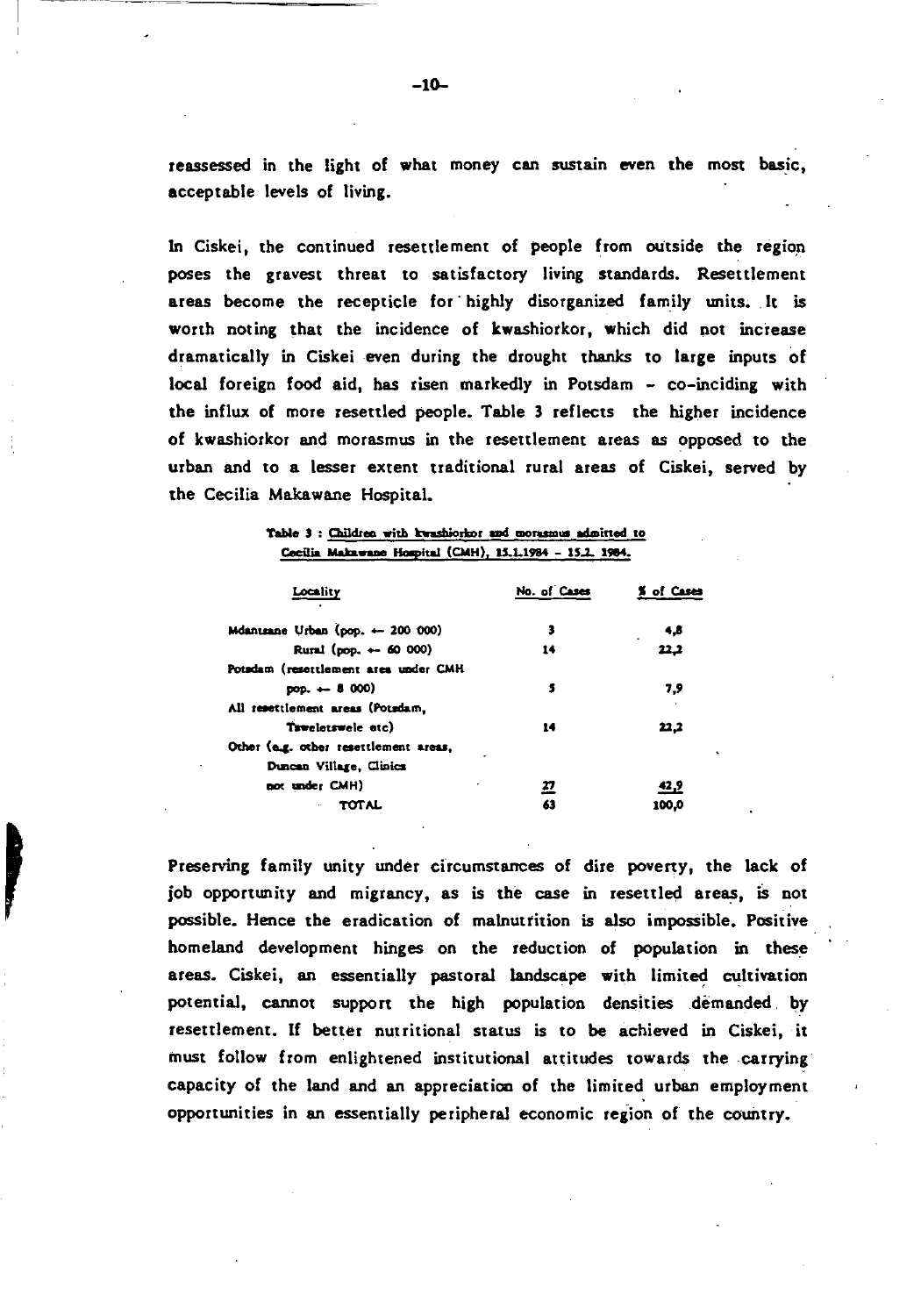reassessed in the light of what money can sustain even the most basic, acceptable levels of living.

In Ciskei, the continued resettlement of people from outside the region poses the gravest threat to satisfactory living standards. Resettlement areas become the recepticle for highly disorganized family units. It is worth noting that the incidence of kwashiorkor, which did not increase dramatically in Ciskei even during the drought thanks to large inputs of local foreign food aid, has risen markedly in Potsdam - co-inciding with the influx of more resettled people. Table 3 reflects the higher incidence of kwashiorkor and morasmus in the resettlement areas as opposed to the urban and to a lesser extent traditional rural areas of Ciskei, served by the Cecilia Makawane Hospital.

|  |                                                          | Table 3 : Children with kwashiorkor and morasmus admitted to |
|--|----------------------------------------------------------|--------------------------------------------------------------|
|  | Cecilia Makawane Hospital (CMH), 15.1.1984 - 15.2. 1984. |                                                              |

| Locality                              | No. of Cases | % of Cases |
|---------------------------------------|--------------|------------|
| Mdantsane Urban (pop. + 200 000)      | 3            | 4,8        |
| Rural (pop. + 60 000)                 | 14           | 22,2       |
| Potsdam (resettlement area under CMH  |              |            |
| $pos. - 8000$                         | s            | 7.9        |
| All resettlement areas (Potsdam,      |              |            |
| Taweletsweie atc)                     | 14           | 22,2       |
| Other (e.g. other resettlement areas, |              |            |
| Duncan Village, Clinics               |              |            |
| not under CMH)                        | <u> 27</u>   | 42,9       |
| TOTAL                                 | 63           | 100.0      |

Preserving family unity under circumstances of dire poverty, the lack of job opportunity and migrancy, as is the case in resettled areas, is not possible. Hence the eradication of malnutrition is also impossible. Positive homeland development hinges on the reduction of population in these areas. Ciskei, an essentially pastoral landscape with limited cultivation potential, cannot support the high population densities demanded by resettlement. If better nutritional status is to be achieved in Ciskei, it must follow from enlightened institutional attitudes towards the carrying capacity of the land and an appreciation of the limited urban employment opportunities in an essentially peripheral economic region of the country.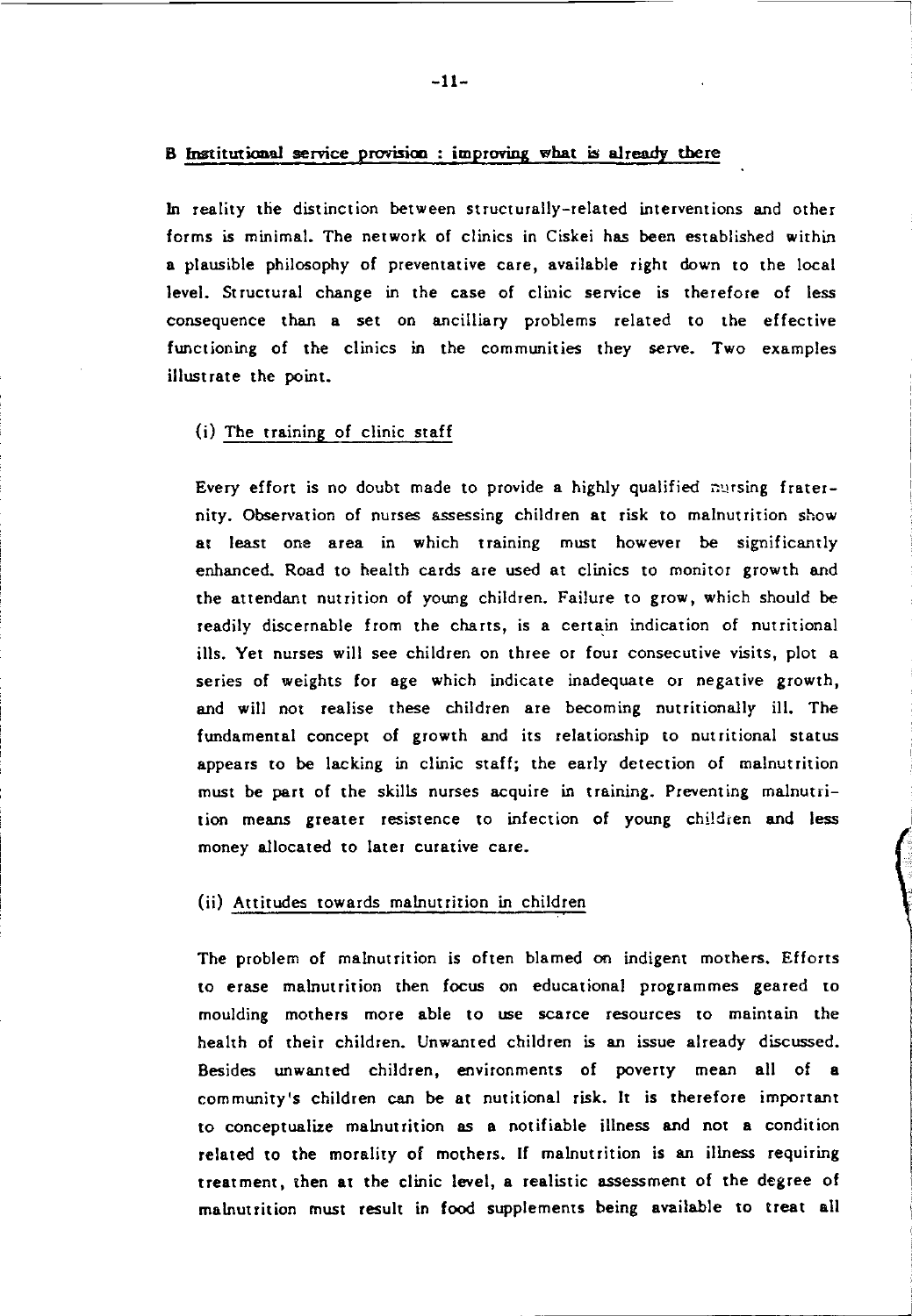### B Institutional service provision improring what is already there

In reality die distinction between structurally-related interventions and other forms is minimal. The network of clinics in Ciskei has been established within a plausible philosophy of preventative care, available right down to the local level. Structural change in the case of clinic service is therefore of less consequence than a set on ancilliary problems related to the effective functioning of the clinics in the communities they serve. Two examples illustrate the point.

### (i) The training of clinic staff

Every effort is no doubt made to provide a highly qualified nursing fraternity. Observation of nurses assessing children at risk to malnutrition show at least one area in which training must however be significantly enhanced. Road to health cards are used at clinics to monitor growth and the attendant nutrition of young children. Failure to grow, which should be readily discernable from the charts, is a certain indication of nutritional ills. Yet nurses will see children on three or four consecutive visits, plot a series of weights for age which indicate inadequate or negative growth, and will not realise these children are becoming nutritionally ill. The fundamental concept of growth and its relationship to nutritional status appears to be lacking in clinic staff; the early detection of malnutrition must be part of the skills nurses acquire in training. Preventing malnutrition means greater resistence to infection of young children and less money allocated to later curative care.

### (ij) Attitudes towards malnutrition in children

The problem of malnutrition is often blamed on indigent mothers. Efforts to erase malnutrition then focus on educational programmes geared to moulding mothers more able to use scarce resources to maintain the health of their children. Unwanted children is an issue already discussed. Besides unwanted children, environments of poverty mean all of a community's children can be at nutitional risk. It is therefore important to conceptualize malnutrition as a notifiable illness and not a condition related to the morality of mothers. If malnutrition is an illness requiring treatment, then at the clinic level, a realistic assessment of the degree of malnutrition must result in food supplements being available to treat all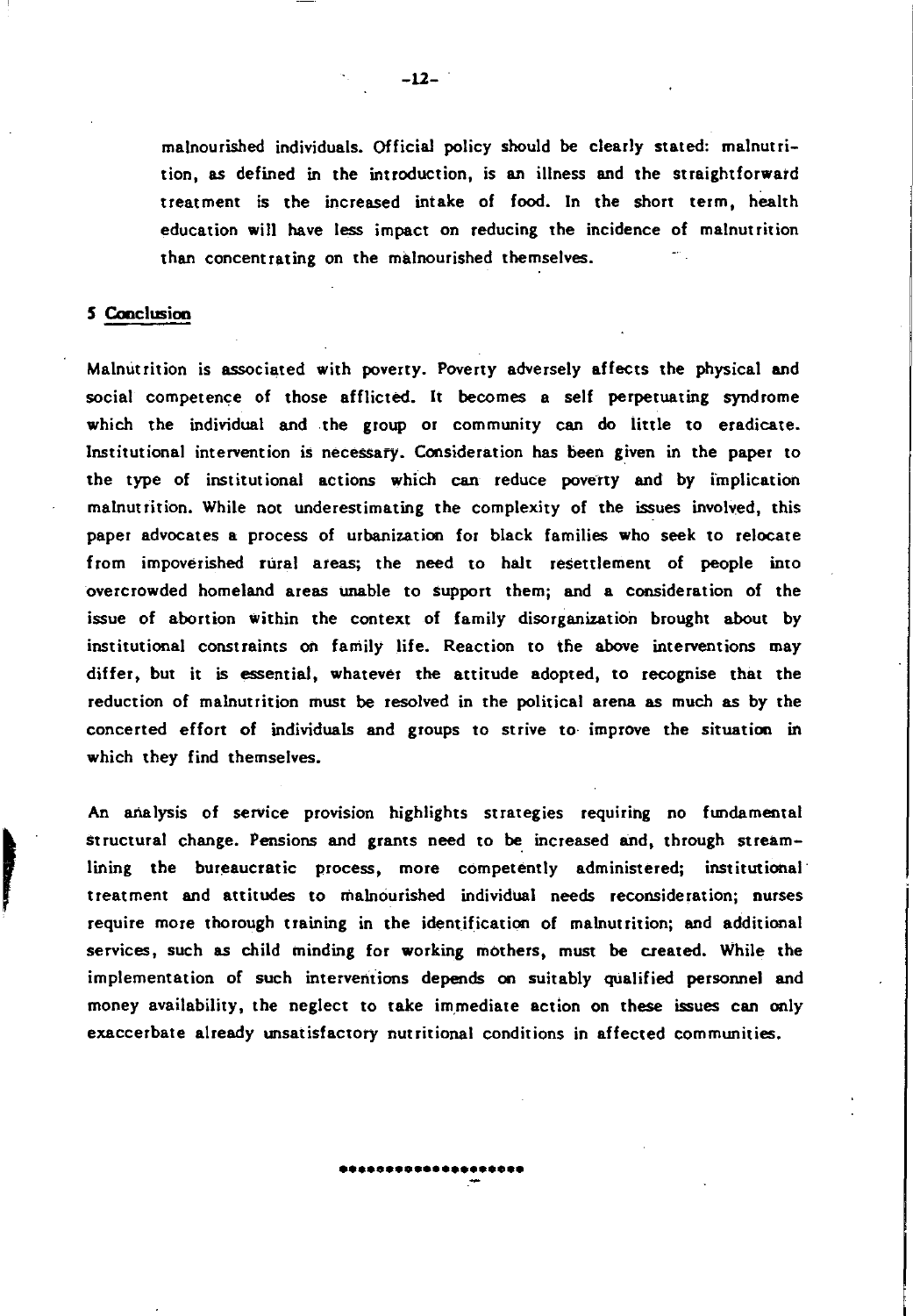malnourished individuals. Official policy should be clearly stated: malnutrition, as defined in the introduction, is an illness and the straightforward treatment is the increased intake of food. In the short term, health education will have less impact on reducing the incidence of malnutrition than concentrating on the malnourished themselves.

### 5 Cooclusioo

,

Malnutrition is associated with poverty. Poverty adversely affects the physical and social competence of those afflicted. It becomes a self perpetuating syndrome which the individual and the group or community can do little to eradicate. Institutional intervention is necessary. Consideration has been given in the paper to the type of institutional actions which can reduce poverty and by implication malnutrition. While not underestimating the complexity of the issues involved, this paper advocates a process of urbanization for black families who seek to relocate from impoverished rural areas; the need to halt resettlement of people into overcrowded homeland areas unable to support them; and a consideration of the issue of abortion within the context of family disorganization brought about by institutional constraints on family life. Reaction to the above interventions may differ, but it is essential, whatever the attitude adopted, to recognise that the reduction of malnutrition must be resolved in the political arena as much as by the concerted effort of individuals and groups to strive to· improve the situation in which they find themselves.

An analysis of service provision highlights strategies requiring no fundamental structural change. Pensions and grants need to be increased and, through streamlining the bureaucratic process, more competently administered; institutional treatment and attitudes to malnourished individual needs reconsideration; nurses require more thorough training in the identification of malnutrition; and additional services, such as child minding for working mothers, must be created. While the implementation of such interventions depends on suitably qUalified personnel and money availability, the neglect to take immediate action on these issues can only exaccerbate already unsatisfactory nutritional conditions in affected communities.

**••••••••••••••••••••** . -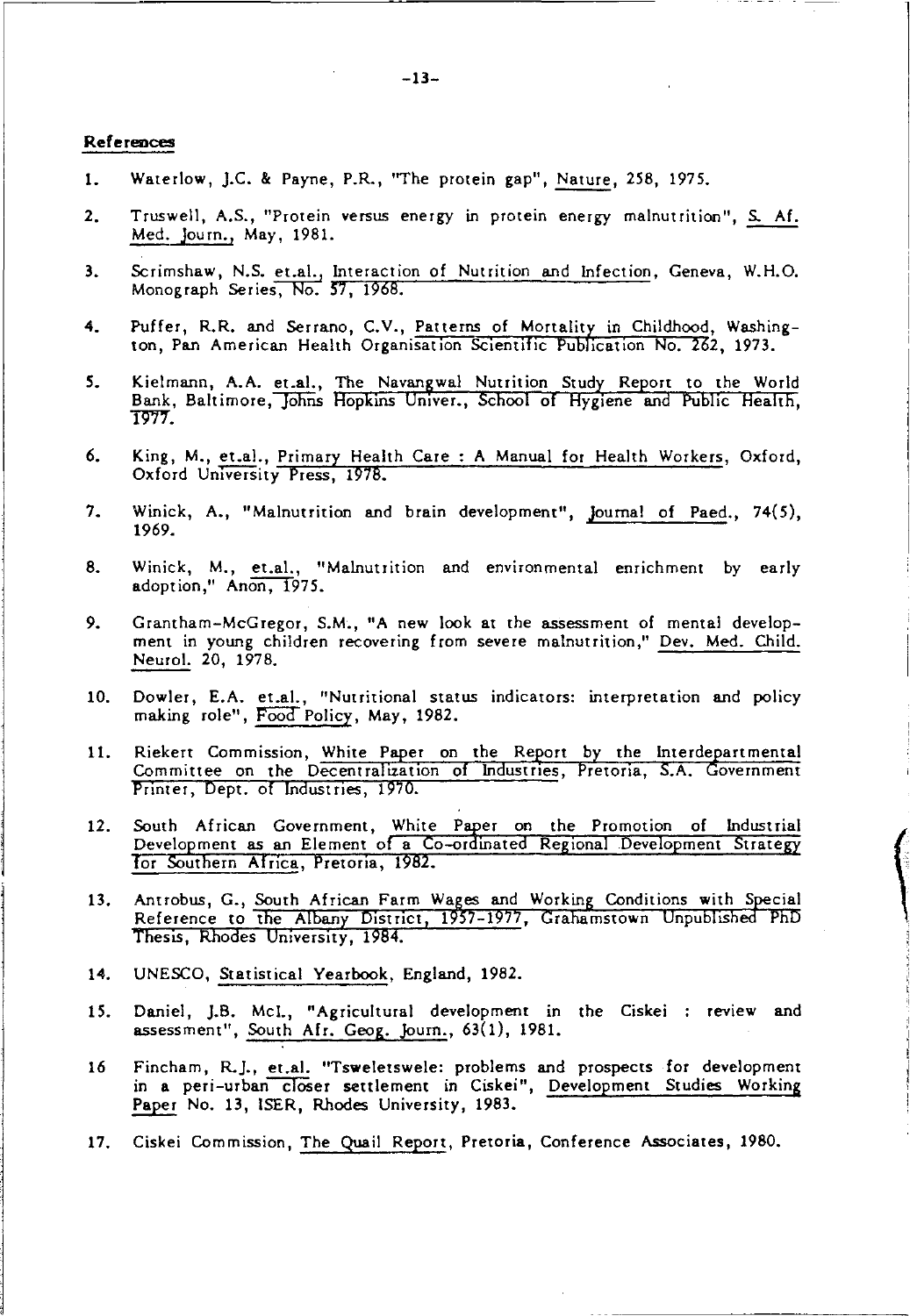#### References

- 1. Waterlow, J.C. & Payne, P.R., "The protein gap", Nature, 258, 1975.
- 2. Truswell, A.S., "Protein versus energy in protein energy malnutrition", S. Af. Med. journ., May, 1981.
- 3. Scrimshaw, N.S. <u>et.al., Interaction of Nutrition and Infection,</u> Geneva, W.H.O.<br>Monograph Series, No. 57, 1968. Monograph Series, No. 57, 1968.
- 4. Puffer, R.R. and Serrano, C.V., Patterns of Mortality in Childhood, Washington, Pan American Health Organisation Scientific Publication No. 262, 1973.
- 5. Kielmann, A.A. et.al., The Navangwal Nutrition Study Report to the World Bank, Baltimore, Johns Hopkins Univer., School of Hygiene and Public Health. 1977.
- 6. King, M., et.al., Primary Health Care: A Manual for Health Workers, Oxford, Oxford University Press, 1978.
- 7. Winick, A., "Malnutrition and brain development", Journal of Paed., 74(5), 1969.
- 8. Winick, M., et.a!., "Malnutrition and environmental enrichment by early adoption," Anon, 1975.
- 9. Grantham-McGregor, S.M., "A new look at the assessment of mental development in young children recovering from severe malnutrition," Dev. Med. Child. Neuro!. 20, 1978.
- 10. Dowler, E.A. et.a!. , "Nutritional status indicators: interpretation and policy making role", Food Policy, May, 1982.
- 11. Riekert Commission, White Paper on the Report by the Interdepartmental Committee on the Decentralization of Industries, Pretoria, S.A. Government Printer, Dept. of Industries, 1970.
- 12. South African Government, White Paper on the Promotion of Industrial Development as an Element of a Co-ordinated Regional Development Strategy for Southern Africa, Pretoria, 1982.
- 13. Antrobus, G., South African Farm Wages and Working Conditions with Special Reference to the Albany District, 1957-1977, Grahamstown Unpublished PhD<br>Thesis, Rhodes University, 1984.
- 14. UNESCO, Statistical Yearbook, England, 1982.
- 15. Daniel, J.B. McI., "Agricultural development in the Ciskei : review and assessment", South Afr. Geog. Journ., 63(1), 1981.
- 16 Fincham, R.j., et.a!. "Tsweletswele: problems and prospects for development in a peri-urban closer settlement in Ciskei", Development Studies Working Paper No. 13, lSER, Rhodes University, 1983.
- 17. Ciskei Commission, The Quail Report, Pretoria, Conference Associates, 1980.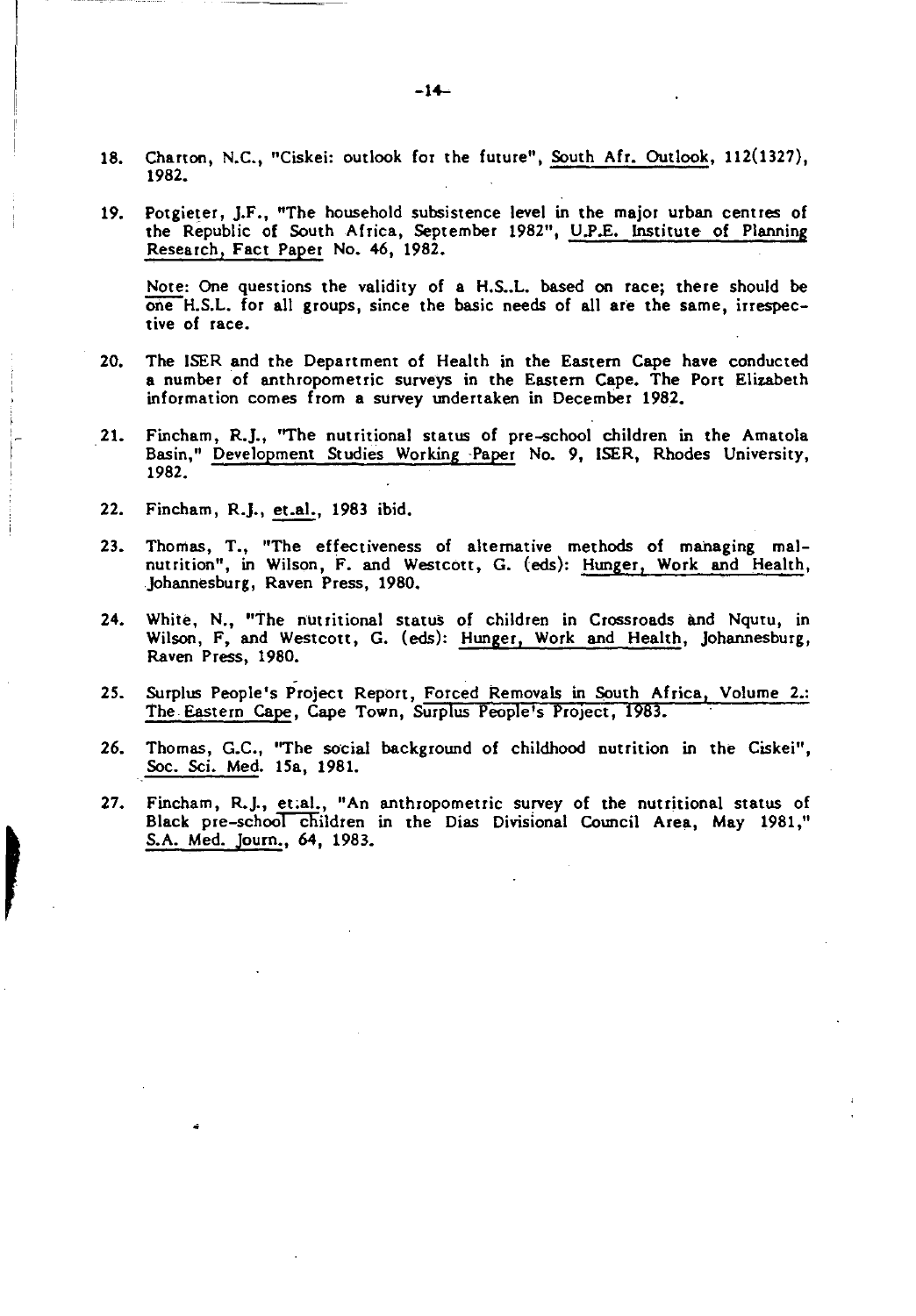- 18. Charton, N.C., "Ciskei: outlook for the future", South Afr. Outlook, 112(1327), 1982.
- 19. Potgieter, J.F., "The household subsistence level in the major urban centres of the Republic of South Africa, September 1982", U.P.E. Institute of Planning Research, Fact Paper No. 46, 1982.

Note: One questions the validity of a H.S..L. based on race; there should be  $one$  H.S.L. for all groups, since the basic needs of all are the same, irrespective of race.

- 20. The ISER and the Department of Health in the Eastern Cape have conducted a number of anthropometric surveys in the Eastern Cape. The Port Elizabeth information comes from a survey undertaken in December 1982.
- 21. Fincham, R.J., "The nutritional status of pre-school children in the Amatola Basin," Development Studies Working -Paper No.9, ISER, Rhodes University, 1982.
- 22. Fincham, R.J., et.al., 1983 ibid.

 $\mathbf{r}$ 

- 23. Thomas, T., "The effectiveness of alternative methods of managing malnutrition", in Wilson, F. and Westcott, G. (eds): Hunger, Work and Health, Johannesburg, Raven Press, 1980.
- 24. White, N., "The nutritional status of children in Crossroads and Nqutu, in Wilson, F, and Westcott, G. (eds): Hunger, Work and Health, Johannesburg, Raven Press, 1980.
- 25. Surplus People's Project Report, Forced Removals in South Africa, Volume 2.: The Eastern Cape, Cape Town, Surplus People's Project, 1983.
- 26. Thomas, G.C., ''The social background of childhood nutrition in the Ciskei", Soc. Sci. Med. 15a, 1981.
- 27. Fincham, R.J., et.al., "An anthropometric survey of the nutritional status of Black pre-school children in the Dias Divisional Council Area, May 1981," S.A. Med. Joum., 64, 1983.